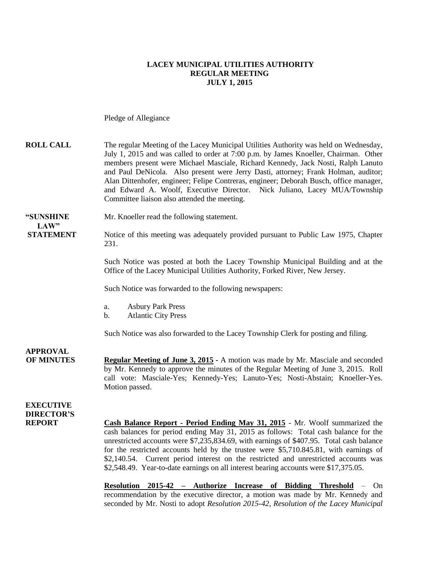#### **LACEY MUNICIPAL UTILITIES AUTHORITY REGULAR MEETING JULY 1, 2015**

Pledge of Allegiance

| <b>ROLL CALL</b>                                       | The regular Meeting of the Lacey Municipal Utilities Authority was held on Wednesday,<br>July 1, 2015 and was called to order at 7:00 p.m. by James Knoeller, Chairman. Other<br>members present were Michael Masciale, Richard Kennedy, Jack Nosti, Ralph Lanuto<br>and Paul DeNicola. Also present were Jerry Dasti, attorney; Frank Holman, auditor;<br>Alan Dittenhofer, engineer; Felipe Contreras, engineer; Deborah Busch, office manager,<br>and Edward A. Woolf, Executive Director. Nick Juliano, Lacey MUA/Township<br>Committee liaison also attended the meeting. |
|--------------------------------------------------------|--------------------------------------------------------------------------------------------------------------------------------------------------------------------------------------------------------------------------------------------------------------------------------------------------------------------------------------------------------------------------------------------------------------------------------------------------------------------------------------------------------------------------------------------------------------------------------|
| "SUNSHINE<br>LAW"                                      | Mr. Knoeller read the following statement.                                                                                                                                                                                                                                                                                                                                                                                                                                                                                                                                     |
| <b>STATEMENT</b>                                       | Notice of this meeting was adequately provided pursuant to Public Law 1975, Chapter<br>231.                                                                                                                                                                                                                                                                                                                                                                                                                                                                                    |
|                                                        | Such Notice was posted at both the Lacey Township Municipal Building and at the<br>Office of the Lacey Municipal Utilities Authority, Forked River, New Jersey.                                                                                                                                                                                                                                                                                                                                                                                                                |
|                                                        | Such Notice was forwarded to the following newspapers:                                                                                                                                                                                                                                                                                                                                                                                                                                                                                                                         |
|                                                        | <b>Asbury Park Press</b><br>a.<br><b>Atlantic City Press</b><br>b.                                                                                                                                                                                                                                                                                                                                                                                                                                                                                                             |
|                                                        | Such Notice was also forwarded to the Lacey Township Clerk for posting and filing.                                                                                                                                                                                                                                                                                                                                                                                                                                                                                             |
| <b>APPROVAL</b><br><b>OF MINUTES</b>                   | <b>Regular Meeting of June 3, 2015 - A motion was made by Mr. Masciale and seconded</b><br>by Mr. Kennedy to approve the minutes of the Regular Meeting of June 3, 2015. Roll<br>call vote: Masciale-Yes; Kennedy-Yes; Lanuto-Yes; Nosti-Abstain; Knoeller-Yes.<br>Motion passed.                                                                                                                                                                                                                                                                                              |
| <b>EXECUTIVE</b><br><b>DIRECTOR'S</b><br><b>REPORT</b> | Cash Balance Report - Period Ending May 31, 2015 - Mr. Woolf summarized the<br>cash balances for period ending May 31, 2015 as follows: Total cash balance for the<br>unrestricted accounts were \$7,235,834.69, with earnings of \$407.95. Total cash balance<br>for the restricted accounts held by the trustee were \$5,710.845.81, with earnings of<br>\$2,140.54. Current period interest on the restricted and unrestricted accounts was<br>\$2,548.49. Year-to-date earnings on all interest bearing accounts were \$17,375.05.                                         |

**Resolution 2015-42 – Authorize Increase of Bidding Threshold** – On recommendation by the executive director, a motion was made by Mr. Kennedy and seconded by Mr. Nosti to adopt *Resolution 2015-42, Resolution of the Lacey Municipal*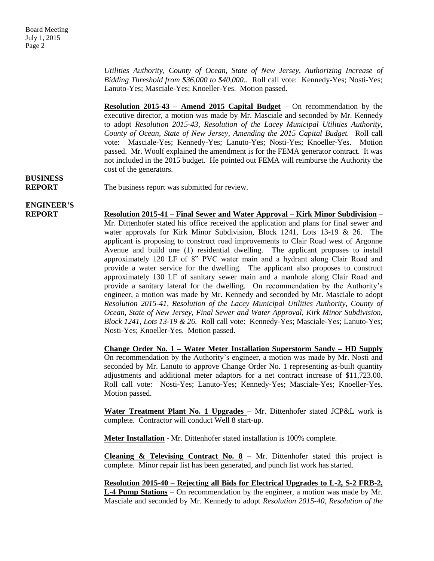*Utilities Authority, County of Ocean, State of New Jersey, Authorizing Increase of Bidding Threshold from \$36,000 to \$40,000..* Roll call vote: Kennedy-Yes; Nosti-Yes; Lanuto-Yes; Masciale-Yes; Knoeller-Yes. Motion passed.

**Resolution 2015-43 – Amend 2015 Capital Budget** – On recommendation by the executive director, a motion was made by Mr. Masciale and seconded by Mr. Kennedy to adopt *Resolution 2015-43, Resolution of the Lacey Municipal Utilities Authority, County of Ocean, State of New Jersey, Amending the 2015 Capital Budget.* Roll call vote: Masciale-Yes; Kennedy-Yes; Lanuto-Yes; Nosti-Yes; Knoeller-Yes. Motion passed. Mr. Woolf explained the amendment is for the FEMA generator contract. It was not included in the 2015 budget. He pointed out FEMA will reimburse the Authority the cost of the generators.

# **BUSINESS**

#### **REPORT** The business report was submitted for review.

## **ENGINEER'S**

**REPORT Resolution 2015-41 – Final Sewer and Water Approval – Kirk Minor Subdivision** – Mr. Dittenhofer stated his office received the application and plans for final sewer and water approvals for Kirk Minor Subdivision, Block 1241, Lots 13-19 & 26. The applicant is proposing to construct road improvements to Clair Road west of Argonne Avenue and build one (1) residential dwelling. The applicant proposes to install approximately 120 LF of 8" PVC water main and a hydrant along Clair Road and provide a water service for the dwelling. The applicant also proposes to construct approximately 130 LF of sanitary sewer main and a manhole along Clair Road and provide a sanitary lateral for the dwelling. On recommendation by the Authority's engineer, a motion was made by Mr. Kennedy and seconded by Mr. Masciale to adopt *Resolution 2015-41, Resolution of the Lacey Municipal Utilities Authority, County of Ocean, State of New Jersey, Final Sewer and Water Approval, Kirk Minor Subdivision, Block 1241, Lots 13-19 & 26.* Roll call vote: Kennedy-Yes; Masciale-Yes; Lanuto-Yes; Nosti-Yes; Knoeller-Yes. Motion passed.

> **Change Order No. 1 – Water Meter Installation Superstorm Sandy – HD Supply** On recommendation by the Authority's engineer, a motion was made by Mr. Nosti and seconded by Mr. Lanuto to approve Change Order No. 1 representing as-built quantity adjustments and additional meter adaptors for a net contract increase of \$11,723.00. Roll call vote: Nosti-Yes; Lanuto-Yes; Kennedy-Yes; Masciale-Yes; Knoeller-Yes. Motion passed.

> **Water Treatment Plant No. 1 Upgrades** – Mr. Dittenhofer stated JCP&L work is complete. Contractor will conduct Well 8 start-up.

**Meter Installation** - Mr. Dittenhofer stated installation is 100% complete.

**Cleaning & Televising Contract No. 8** – Mr. Dittenhofer stated this project is complete. Minor repair list has been generated, and punch list work has started.

**Resolution 2015-40 – Rejecting all Bids for Electrical Upgrades to L-2, S-2 FRB-2, L-4 Pump Stations** – On recommendation by the engineer, a motion was made by Mr. Masciale and seconded by Mr. Kennedy to adopt *Resolution 2015-40, Resolution of the*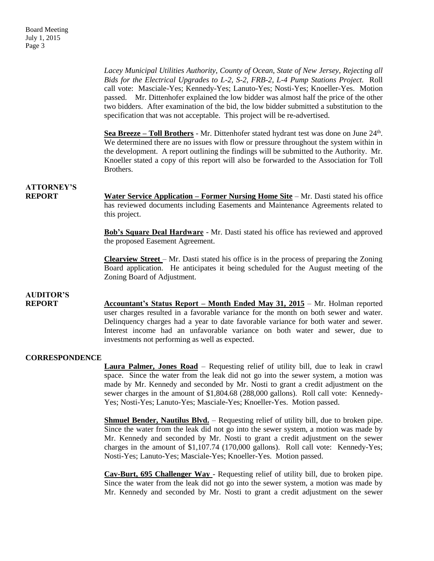*Lacey Municipal Utilities Authority, County of Ocean, State of New Jersey, Rejecting all Bids for the Electrical Upgrades to L-2, S-2, FRB-2, L-4 Pump Stations Project.* Roll call vote: Masciale-Yes; Kennedy-Yes; Lanuto-Yes; Nosti-Yes; Knoeller-Yes. Motion passed. Mr. Dittenhofer explained the low bidder was almost half the price of the other two bidders. After examination of the bid, the low bidder submitted a substitution to the specification that was not acceptable. This project will be re-advertised.

Sea Breeze – Toll Brothers - Mr. Dittenhofer stated hydrant test was done on June 24<sup>th</sup>. We determined there are no issues with flow or pressure throughout the system within in the development. A report outlining the findings will be submitted to the Authority. Mr. Knoeller stated a copy of this report will also be forwarded to the Association for Toll Brothers.

### **ATTORNEY'S**

**REPORT Water Service Application – Former Nursing Home Site** – Mr. Dasti stated his office has reviewed documents including Easements and Maintenance Agreements related to this project.

> **Bob's Square Deal Hardware** - Mr. Dasti stated his office has reviewed and approved the proposed Easement Agreement.

> **Clearview Street** – Mr. Dasti stated his office is in the process of preparing the Zoning Board application. He anticipates it being scheduled for the August meeting of the Zoning Board of Adjustment.

### **AUDITOR'S**

**REPORT Accountant's Status Report – Month Ended May 31, 2015** – Mr. Holman reported user charges resulted in a favorable variance for the month on both sewer and water. Delinquency charges had a year to date favorable variance for both water and sewer. Interest income had an unfavorable variance on both water and sewer, due to investments not performing as well as expected.

#### **CORRESPONDENCE**

**Laura Palmer, Jones Road** – Requesting relief of utility bill, due to leak in crawl space. Since the water from the leak did not go into the sewer system, a motion was made by Mr. Kennedy and seconded by Mr. Nosti to grant a credit adjustment on the sewer charges in the amount of \$1,804.68 (288,000 gallons). Roll call vote: Kennedy-Yes; Nosti-Yes; Lanuto-Yes; Masciale-Yes; Knoeller-Yes. Motion passed.

**Shmuel Bender, Nautilus Blvd.** – Requesting relief of utility bill, due to broken pipe. Since the water from the leak did not go into the sewer system, a motion was made by Mr. Kennedy and seconded by Mr. Nosti to grant a credit adjustment on the sewer charges in the amount of \$1,107.74 (170,000 gallons). Roll call vote: Kennedy-Yes; Nosti-Yes; Lanuto-Yes; Masciale-Yes; Knoeller-Yes. Motion passed.

**Cav-Burt, 695 Challenger Way** - Requesting relief of utility bill, due to broken pipe. Since the water from the leak did not go into the sewer system, a motion was made by Mr. Kennedy and seconded by Mr. Nosti to grant a credit adjustment on the sewer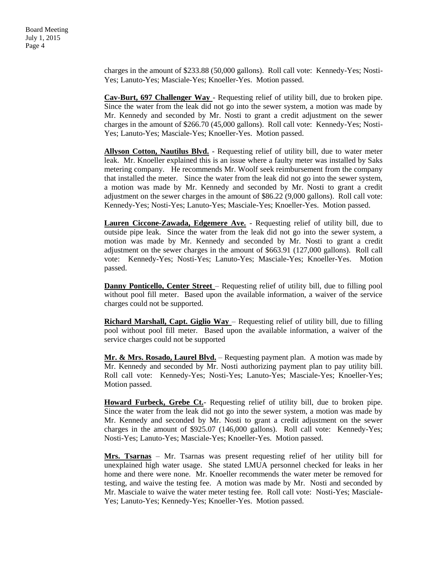Board Meeting July 1, 2015 Page 4

> charges in the amount of \$233.88 (50,000 gallons). Roll call vote: Kennedy-Yes; Nosti-Yes; Lanuto-Yes; Masciale-Yes; Knoeller-Yes. Motion passed.

> **Cav-Burt, 697 Challenger Way** - Requesting relief of utility bill, due to broken pipe. Since the water from the leak did not go into the sewer system, a motion was made by Mr. Kennedy and seconded by Mr. Nosti to grant a credit adjustment on the sewer charges in the amount of \$266.70 (45,000 gallons). Roll call vote: Kennedy-Yes; Nosti-Yes; Lanuto-Yes; Masciale-Yes; Knoeller-Yes. Motion passed.

> **Allyson Cotton, Nautilus Blvd.** - Requesting relief of utility bill, due to water meter leak. Mr. Knoeller explained this is an issue where a faulty meter was installed by Saks metering company. He recommends Mr. Woolf seek reimbursement from the company that installed the meter. Since the water from the leak did not go into the sewer system, a motion was made by Mr. Kennedy and seconded by Mr. Nosti to grant a credit adjustment on the sewer charges in the amount of \$86.22 (9,000 gallons). Roll call vote: Kennedy-Yes; Nosti-Yes; Lanuto-Yes; Masciale-Yes; Knoeller-Yes. Motion passed.

> **Lauren Ciccone-Zawada, Edgemere Ave.** - Requesting relief of utility bill, due to outside pipe leak. Since the water from the leak did not go into the sewer system, a motion was made by Mr. Kennedy and seconded by Mr. Nosti to grant a credit adjustment on the sewer charges in the amount of \$663.91 (127,000 gallons). Roll call vote: Kennedy-Yes; Nosti-Yes; Lanuto-Yes; Masciale-Yes; Knoeller-Yes. Motion passed.

> **Danny Ponticello, Center Street** – Requesting relief of utility bill, due to filling pool without pool fill meter. Based upon the available information, a waiver of the service charges could not be supported.

> **Richard Marshall, Capt. Giglio Way** – Requesting relief of utility bill, due to filling pool without pool fill meter. Based upon the available information, a waiver of the service charges could not be supported

> **Mr. & Mrs. Rosado, Laurel Blvd.** – Requesting payment plan. A motion was made by Mr. Kennedy and seconded by Mr. Nosti authorizing payment plan to pay utility bill. Roll call vote: Kennedy-Yes; Nosti-Yes; Lanuto-Yes; Masciale-Yes; Knoeller-Yes; Motion passed.

> **Howard Furbeck, Grebe Ct.**- Requesting relief of utility bill, due to broken pipe. Since the water from the leak did not go into the sewer system, a motion was made by Mr. Kennedy and seconded by Mr. Nosti to grant a credit adjustment on the sewer charges in the amount of \$925.07 (146,000 gallons). Roll call vote: Kennedy-Yes; Nosti-Yes; Lanuto-Yes; Masciale-Yes; Knoeller-Yes. Motion passed.

> **Mrs. Tsarnas** – Mr. Tsarnas was present requesting relief of her utility bill for unexplained high water usage. She stated LMUA personnel checked for leaks in her home and there were none. Mr. Knoeller recommends the water meter be removed for testing, and waive the testing fee. A motion was made by Mr. Nosti and seconded by Mr. Masciale to waive the water meter testing fee. Roll call vote: Nosti-Yes; Masciale-Yes; Lanuto-Yes; Kennedy-Yes; Knoeller-Yes. Motion passed.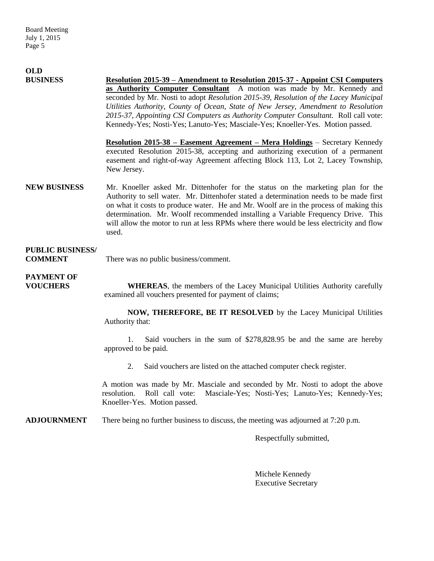| <b>OLD</b>                                |                                                                                                                                                                                                                                                                                                                                                                                                                                                                                                                                                                                                                                                                                       |
|-------------------------------------------|---------------------------------------------------------------------------------------------------------------------------------------------------------------------------------------------------------------------------------------------------------------------------------------------------------------------------------------------------------------------------------------------------------------------------------------------------------------------------------------------------------------------------------------------------------------------------------------------------------------------------------------------------------------------------------------|
| <b>BUSINESS</b>                           | <b>Resolution 2015-39 – Amendment to Resolution 2015-37 - Appoint CSI Computers</b><br>as Authority Computer Consultant A motion was made by Mr. Kennedy and<br>seconded by Mr. Nosti to adopt Resolution 2015-39, Resolution of the Lacey Municipal<br>Utilities Authority, County of Ocean, State of New Jersey, Amendment to Resolution<br>2015-37, Appointing CSI Computers as Authority Computer Consultant. Roll call vote:<br>Kennedy-Yes; Nosti-Yes; Lanuto-Yes; Masciale-Yes; Knoeller-Yes. Motion passed.<br>Resolution 2015-38 - Easement Agreement - Mera Holdings - Secretary Kennedy<br>executed Resolution 2015-38, accepting and authorizing execution of a permanent |
|                                           | easement and right-of-way Agreement affecting Block 113, Lot 2, Lacey Township,<br>New Jersey.                                                                                                                                                                                                                                                                                                                                                                                                                                                                                                                                                                                        |
| <b>NEW BUSINESS</b>                       | Mr. Knoeller asked Mr. Dittenhofer for the status on the marketing plan for the<br>Authority to sell water. Mr. Dittenhofer stated a determination needs to be made first<br>on what it costs to produce water. He and Mr. Woolf are in the process of making this<br>determination. Mr. Woolf recommended installing a Variable Frequency Drive. This<br>will allow the motor to run at less RPMs where there would be less electricity and flow<br>used.                                                                                                                                                                                                                            |
| <b>PUBLIC BUSINESS/</b><br><b>COMMENT</b> | There was no public business/comment.                                                                                                                                                                                                                                                                                                                                                                                                                                                                                                                                                                                                                                                 |
| <b>PAYMENT OF</b><br><b>VOUCHERS</b>      | <b>WHEREAS</b> , the members of the Lacey Municipal Utilities Authority carefully<br>examined all vouchers presented for payment of claims;                                                                                                                                                                                                                                                                                                                                                                                                                                                                                                                                           |
|                                           | NOW, THEREFORE, BE IT RESOLVED by the Lacey Municipal Utilities<br>Authority that:                                                                                                                                                                                                                                                                                                                                                                                                                                                                                                                                                                                                    |
|                                           | Said vouchers in the sum of \$278,828.95 be and the same are hereby<br>1.<br>approved to be paid.                                                                                                                                                                                                                                                                                                                                                                                                                                                                                                                                                                                     |
|                                           | 2.<br>Said vouchers are listed on the attached computer check register.                                                                                                                                                                                                                                                                                                                                                                                                                                                                                                                                                                                                               |
|                                           | A motion was made by Mr. Masciale and seconded by Mr. Nosti to adopt the above<br>Masciale-Yes; Nosti-Yes; Lanuto-Yes; Kennedy-Yes;<br>Roll call vote:<br>resolution.<br>Knoeller-Yes. Motion passed.                                                                                                                                                                                                                                                                                                                                                                                                                                                                                 |
| <b>ADJOURNMENT</b>                        | There being no further business to discuss, the meeting was adjourned at 7:20 p.m.                                                                                                                                                                                                                                                                                                                                                                                                                                                                                                                                                                                                    |
|                                           | Respectfully submitted,                                                                                                                                                                                                                                                                                                                                                                                                                                                                                                                                                                                                                                                               |

Michele Kennedy Executive Secretary